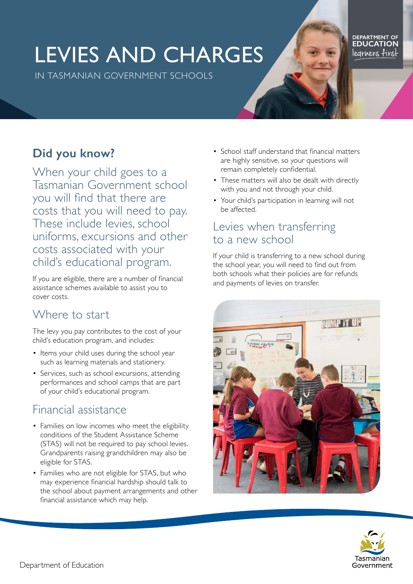# LEVIES AND CHARGES

IN TASMANIAN GOVERNMENT SCHOOLS

# **Did you know?**

When your child goes to a Tasmanian Government school you will find that there are costs that you will need to pay. These include levies, school uniforms, excursions and other costs associated with your child's educational program.

If you are eligible, there are a number of financial assistance schemes available to assist you to cover costs.

#### Where to start

The levy you pay contributes to the cost of your child's education program, and includes:

- Items your child uses during the school year such as learning materials and stationery.
- Services, such as school excursions, attending performances and school camps that are part of your child's educational program.

# Financial assistance

- Families on low incomes who meet the eligibility conditions of the Student Assistance Scheme (STAS) will not be required to pay school levies. Grandparents raising grandchildren may also be eligible for STAS.
- Families who are not eligible for STAS, but who may experience financial hardship should talk to the school about payment arrangements and other financial assistance which may help.
- School staff understand that financial matters are highly sensitive, so your questions will remain completely confidential.
- These matters will also be dealt with directly with you and not through your child.
- Your child's participation in learning will not be affected.

#### Levies when transferring to a new school

If your child is transferring to a new school during the school year, you will need to find out from both schools what their policies are for refunds and payments of levies on transfer.





DEPARTMENT OF<br>**EDUCATION** legrhers first